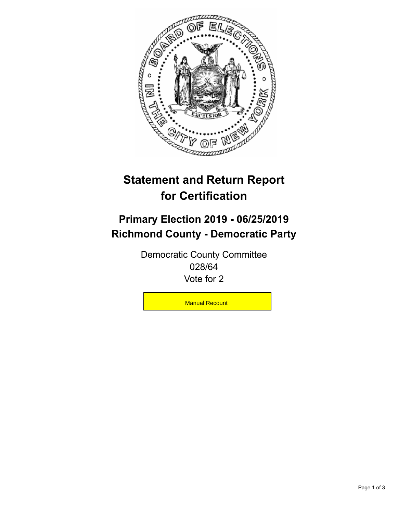

## **Statement and Return Report for Certification**

## **Primary Election 2019 - 06/25/2019 Richmond County - Democratic Party**

Democratic County Committee 028/64 Vote for 2

**Manual Recount**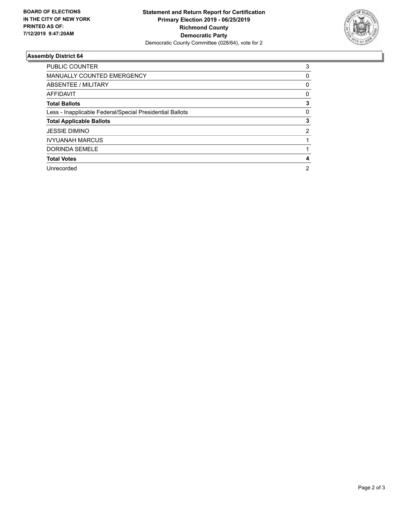

## **Assembly District 64**

| <b>PUBLIC COUNTER</b>                                    | 3              |
|----------------------------------------------------------|----------------|
| MANUALLY COUNTED EMERGENCY                               | 0              |
| ABSENTEE / MILITARY                                      | 0              |
| AFFIDAVIT                                                | 0              |
| <b>Total Ballots</b>                                     | 3              |
| Less - Inapplicable Federal/Special Presidential Ballots | 0              |
| <b>Total Applicable Ballots</b>                          | 3              |
| <b>JESSIE DIMINO</b>                                     | 2              |
| <b>IVYUANAH MARCUS</b>                                   |                |
| DORINDA SEMELE                                           |                |
| <b>Total Votes</b>                                       | 4              |
| Unrecorded                                               | $\overline{2}$ |